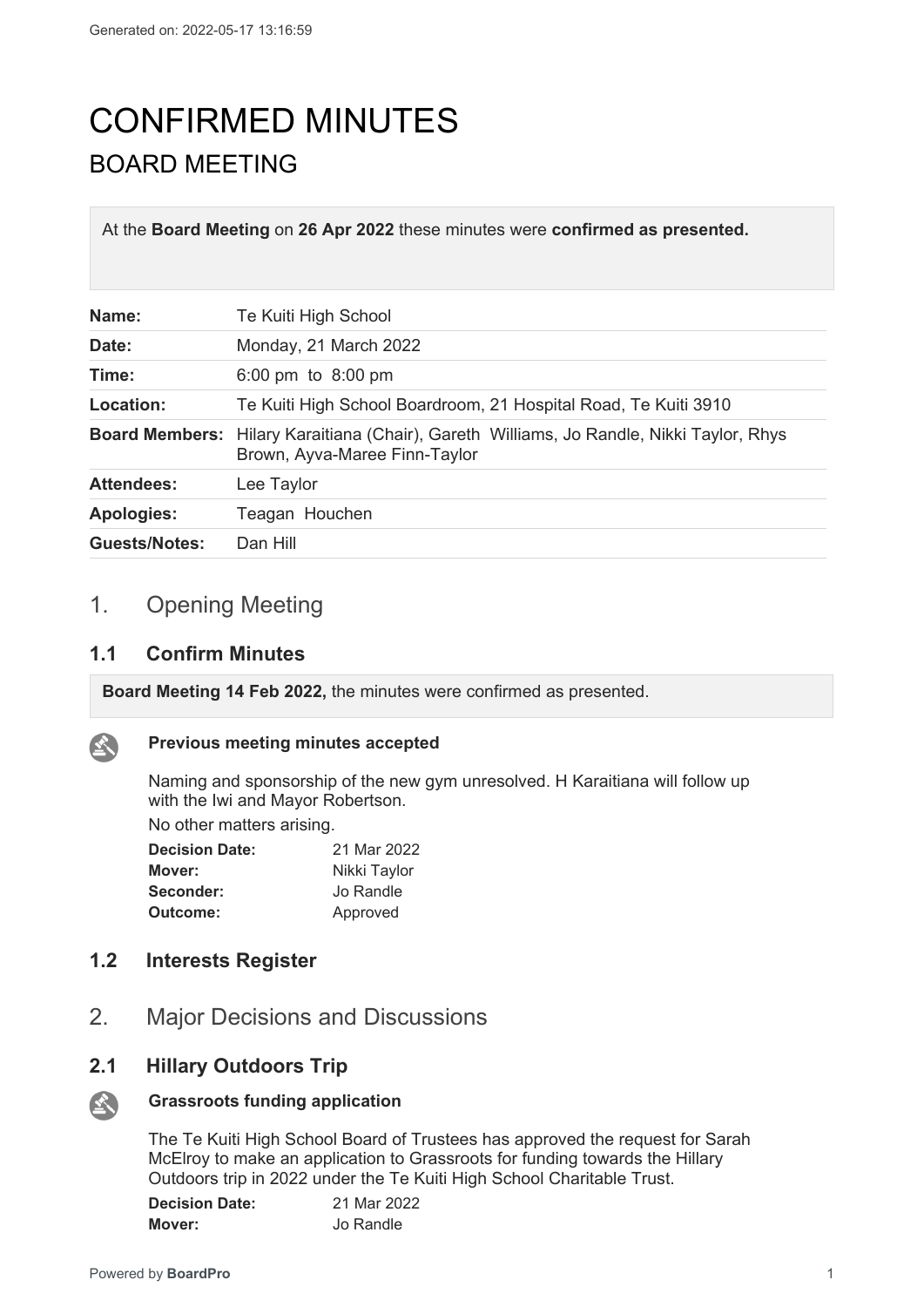# CONFIRMED MINUTES BOARD MEETING

At the **Board Meeting** on **26 Apr 2022** these minutes were **confirmed as presented.**

| Name:                | Te Kuiti High School                                                                                                      |
|----------------------|---------------------------------------------------------------------------------------------------------------------------|
| Date:                | Monday, 21 March 2022                                                                                                     |
| Time:                | 6:00 pm to 8:00 pm                                                                                                        |
| Location:            | Te Kuiti High School Boardroom, 21 Hospital Road, Te Kuiti 3910                                                           |
|                      | Board Members: Hilary Karaitiana (Chair), Gareth Williams, Jo Randle, Nikki Taylor, Rhys<br>Brown, Ayva-Maree Finn-Taylor |
| <b>Attendees:</b>    | Lee Taylor                                                                                                                |
| <b>Apologies:</b>    | Teagan Houchen                                                                                                            |
| <b>Guests/Notes:</b> | Dan Hill                                                                                                                  |

# 1. Opening Meeting

#### **1.1 Confirm Minutes**

**Board Meeting 14 Feb 2022,** the minutes were confirmed as presented.



## **Previous meeting minutes accepted**

Naming and sponsorship of the new gym unresolved. H Karaitiana will follow up with the Iwi and Mayor Robertson.

No other matters arising.

| <b>Decision Date:</b> | 21 Mar 2022  |  |
|-----------------------|--------------|--|
| Mover:                | Nikki Taylor |  |
| Seconder:             | Jo Randle    |  |
| Outcome:              | Approved     |  |

## **1.2 Interests Register**

2. Major Decisions and Discussions

## **2.1 Hillary Outdoors Trip**



#### **Grassroots funding application**

The Te Kuiti High School Board of Trustees has approved the request for Sarah McElroy to make an application to Grassroots for funding towards the Hillary Outdoors trip in 2022 under the Te Kuiti High School Charitable Trust.

| <b>Decision Date:</b> | 21 Mar 2022 |
|-----------------------|-------------|
| Mover:                | Jo Randle   |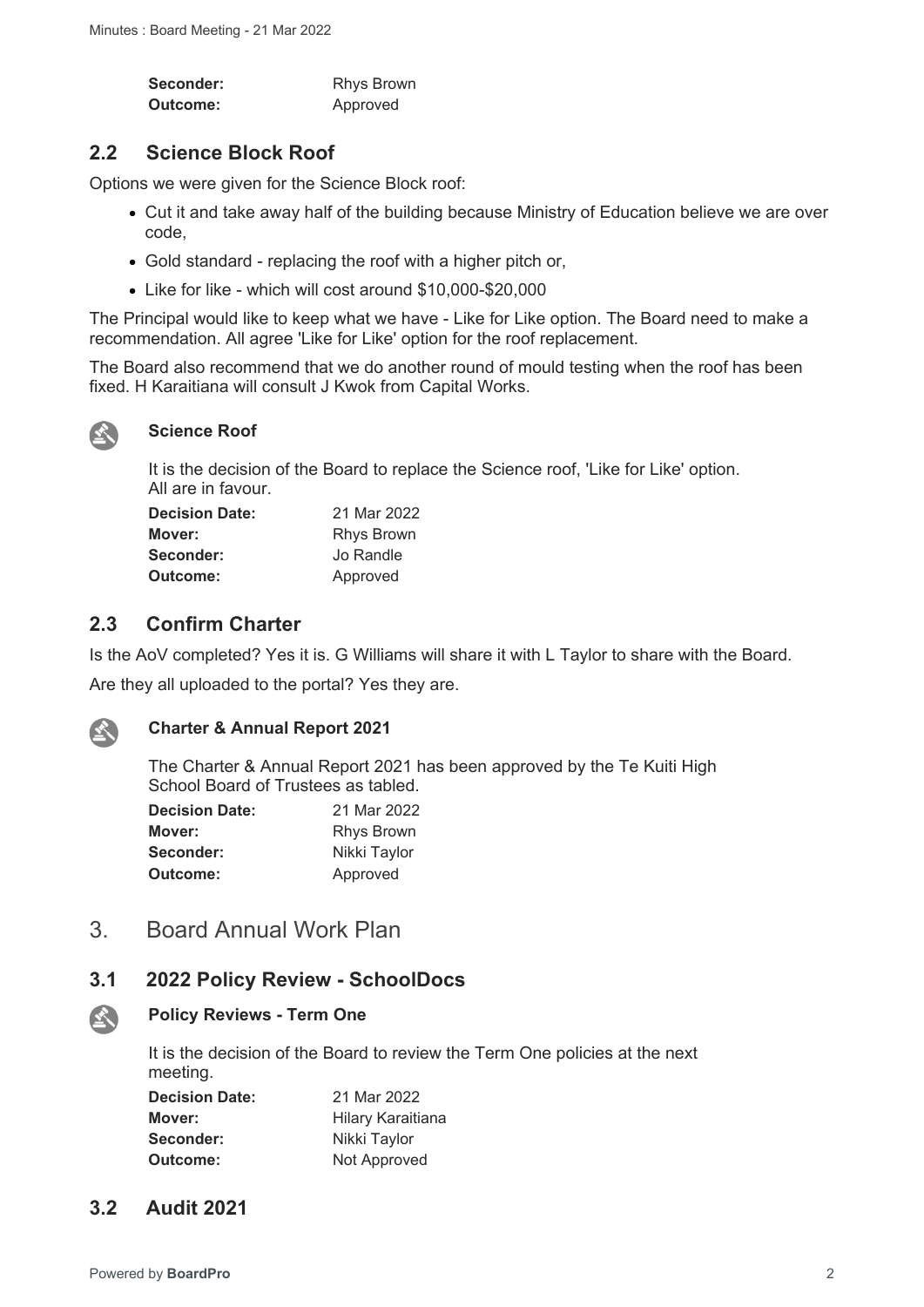| Seconder: | <b>Rhys Brown</b> |
|-----------|-------------------|
| Outcome:  | Approved          |

## **2.2 Science Block Roof**

Options we were given for the Science Block roof:

- Cut it and take away half of the building because Ministry of Education believe we are over code,
- Gold standard replacing the roof with a higher pitch or,
- Like for like which will cost around \$10,000-\$20,000

The Principal would like to keep what we have - Like for Like option. The Board need to make a recommendation. All agree 'Like for Like' option for the roof replacement.

The Board also recommend that we do another round of mould testing when the roof has been fixed. H Karaitiana will consult J Kwok from Capital Works.



#### **Science Roof**

It is the decision of the Board to replace the Science roof, 'Like for Like' option. All are in favour.

| <b>Decision Date:</b> | 21 Mar 2022       |
|-----------------------|-------------------|
| Mover:                | <b>Rhys Brown</b> |
| Seconder:             | Jo Randle         |
| Outcome:              | Approved          |

## **2.3 Confirm Charter**

Is the AoV completed? Yes it is. G Williams will share it with L Taylor to share with the Board.

Are they all uploaded to the portal? Yes they are.



公

#### **Charter & Annual Report 2021**

The Charter & Annual Report 2021 has been approved by the Te Kuiti High School Board of Trustees as tabled.

| <b>Decision Date:</b> | 21 Mar 2022       |
|-----------------------|-------------------|
| Mover:                | <b>Rhys Brown</b> |
| Seconder:             | Nikki Taylor      |
| Outcome:              | Approved          |

# 3. Board Annual Work Plan

## **3.1 2022 Policy Review - SchoolDocs**

#### **Policy Reviews - Term One**

It is the decision of the Board to review the Term One policies at the next meeting.

| <b>Decision Date:</b> | 21 Mar 2022       |
|-----------------------|-------------------|
| Mover:                | Hilary Karaitiana |
| Seconder:             | Nikki Taylor      |
| Outcome:              | Not Approved      |

## **3.2 Audit 2021**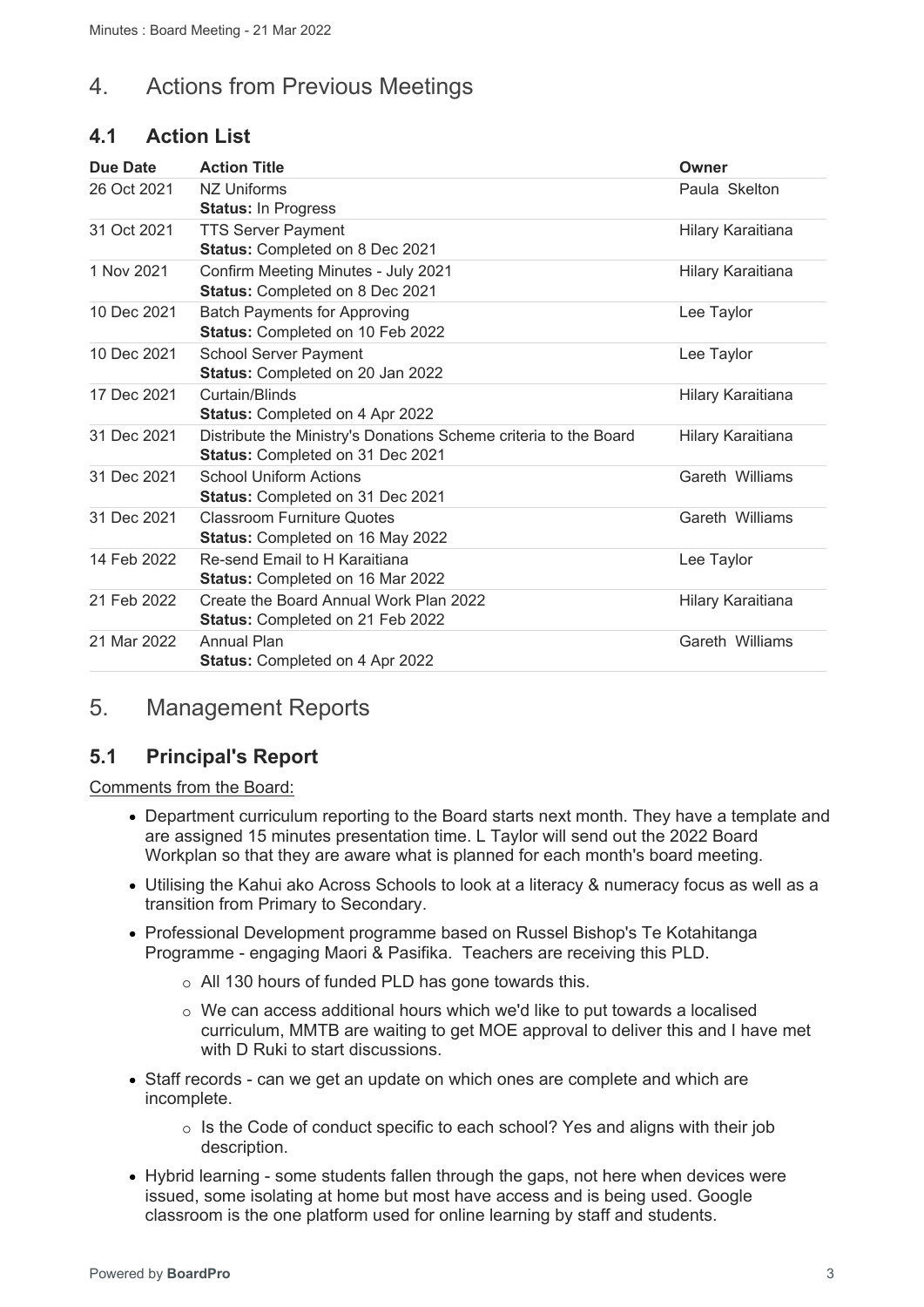# 4. Actions from Previous Meetings

# **4.1 Action List**

| Due Date    | <b>Action Title</b>                                                                                  | Owner             |
|-------------|------------------------------------------------------------------------------------------------------|-------------------|
| 26 Oct 2021 | NZ Uniforms<br><b>Status: In Progress</b>                                                            | Paula Skelton     |
| 31 Oct 2021 | <b>TTS Server Payment</b><br>Status: Completed on 8 Dec 2021                                         | Hilary Karaitiana |
| 1 Nov 2021  | Confirm Meeting Minutes - July 2021<br>Status: Completed on 8 Dec 2021                               | Hilary Karaitiana |
| 10 Dec 2021 | <b>Batch Payments for Approving</b><br>Status: Completed on 10 Feb 2022                              | Lee Taylor        |
| 10 Dec 2021 | <b>School Server Payment</b><br>Status: Completed on 20 Jan 2022                                     | Lee Taylor        |
| 17 Dec 2021 | Curtain/Blinds<br><b>Status: Completed on 4 Apr 2022</b>                                             | Hilary Karaitiana |
| 31 Dec 2021 | Distribute the Ministry's Donations Scheme criteria to the Board<br>Status: Completed on 31 Dec 2021 | Hilary Karaitiana |
| 31 Dec 2021 | <b>School Uniform Actions</b><br>Status: Completed on 31 Dec 2021                                    | Gareth Williams   |
| 31 Dec 2021 | <b>Classroom Furniture Quotes</b><br><b>Status: Completed on 16 May 2022</b>                         | Gareth Williams   |
| 14 Feb 2022 | Re-send Email to H Karaitiana<br><b>Status: Completed on 16 Mar 2022</b>                             | Lee Taylor        |
| 21 Feb 2022 | Create the Board Annual Work Plan 2022<br><b>Status: Completed on 21 Feb 2022</b>                    | Hilary Karaitiana |
| 21 Mar 2022 | Annual Plan<br><b>Status: Completed on 4 Apr 2022</b>                                                | Gareth Williams   |

# 5. Management Reports

## **5.1 Principal's Report**

Comments from the Board:

- Department curriculum reporting to the Board starts next month. They have a template and are assigned 15 minutes presentation time. L Taylor will send out the 2022 Board Workplan so that they are aware what is planned for each month's board meeting.
- Utilising the Kahui ako Across Schools to look at a literacy & numeracy focus as well as a transition from Primary to Secondary.
- Professional Development programme based on Russel Bishop's Te Kotahitanga Programme - engaging Maori & Pasifika. Teachers are receiving this PLD.
	- o All 130 hours of funded PLD has gone towards this.
	- o We can access additional hours which we'd like to put towards a localised curriculum, MMTB are waiting to get MOE approval to deliver this and I have met with D Ruki to start discussions.
- Staff records can we get an update on which ones are complete and which are incomplete.
	- o Is the Code of conduct specific to each school? Yes and aligns with their job description.
- Hybrid learning some students fallen through the gaps, not here when devices were issued, some isolating at home but most have access and is being used. Google classroom is the one platform used for online learning by staff and students.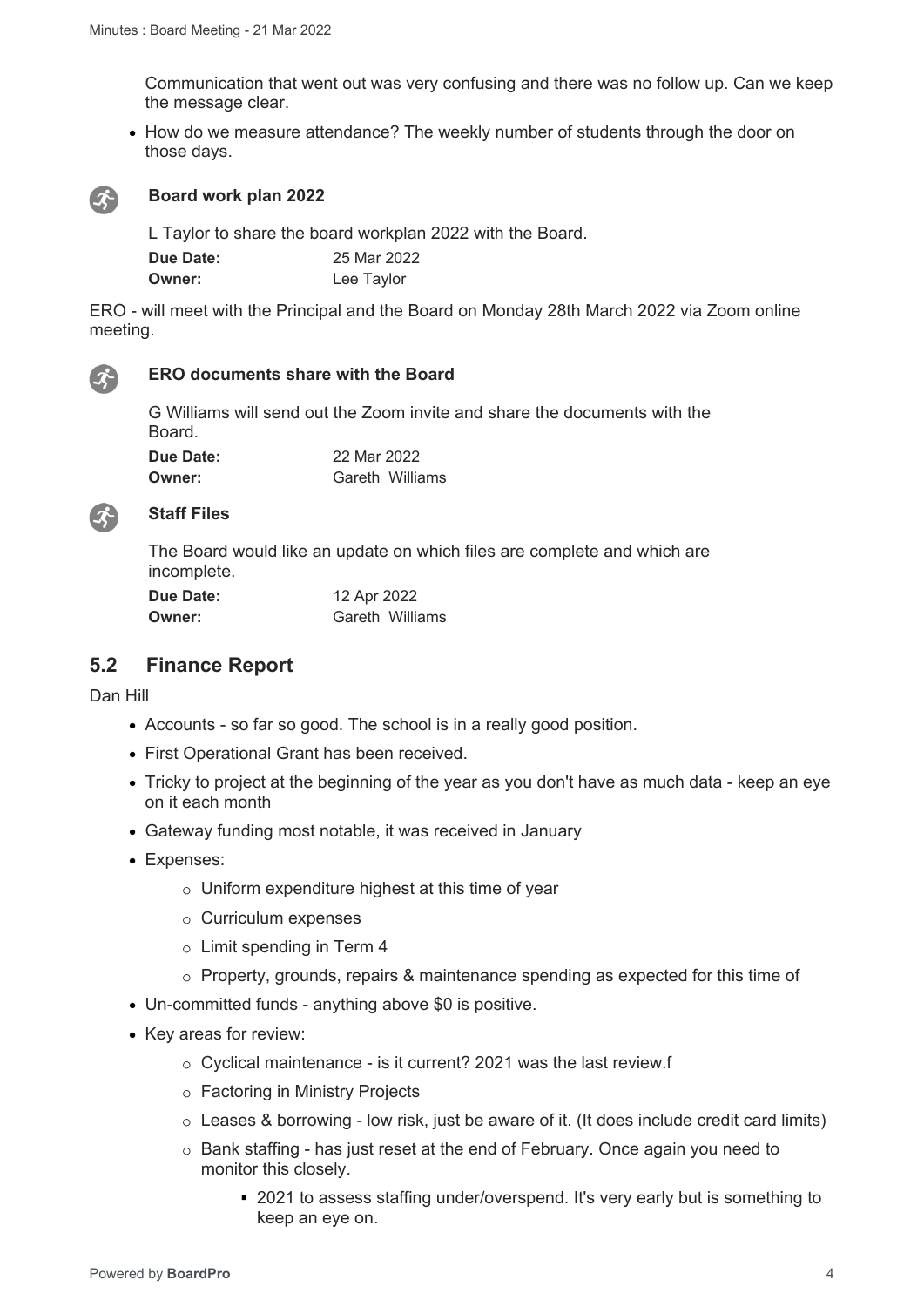Communication that went out was very confusing and there was no follow up. Can we keep the message clear.

• How do we measure attendance? The weekly number of students through the door on those days.



#### **Board work plan 2022**

L Taylor to share the board workplan 2022 with the Board. **Due Date:** 25 Mar 2022 **Owner:** Lee Taylor

ERO - will meet with the Principal and the Board on Monday 28th March 2022 via Zoom online meeting.



#### **ERO documents share with the Board**

G Williams will send out the Zoom invite and share the documents with the Board.

**Due Date:** 22 Mar 2022 **Owner: Gareth Williams** 



#### **Staff Files**

The Board would like an update on which files are complete and which are incomplete.

| Due Date: | 12 Apr 2022     |
|-----------|-----------------|
| Owner:    | Gareth Williams |

#### **5.2 Finance Report**

Dan Hill

- Accounts so far so good. The school is in a really good position.
- First Operational Grant has been received.
- Tricky to project at the beginning of the year as you don't have as much data keep an eye on it each month
- Gateway funding most notable, it was received in January
- Expenses:
	- o Uniform expenditure highest at this time of year
	- o Curriculum expenses
	- o Limit spending in Term 4
	- o Property, grounds, repairs & maintenance spending as expected for this time of
- Un-committed funds anything above \$0 is positive.
- Key areas for review:
	- o Cyclical maintenance is it current? 2021 was the last review.f
	- o Factoring in Ministry Projects
	- $\circ$  Leases & borrowing low risk, just be aware of it. (It does include credit card limits)
	- o Bank staffing has just reset at the end of February. Once again you need to monitor this closely.
		- 2021 to assess staffing under/overspend. It's very early but is something to keep an eye on.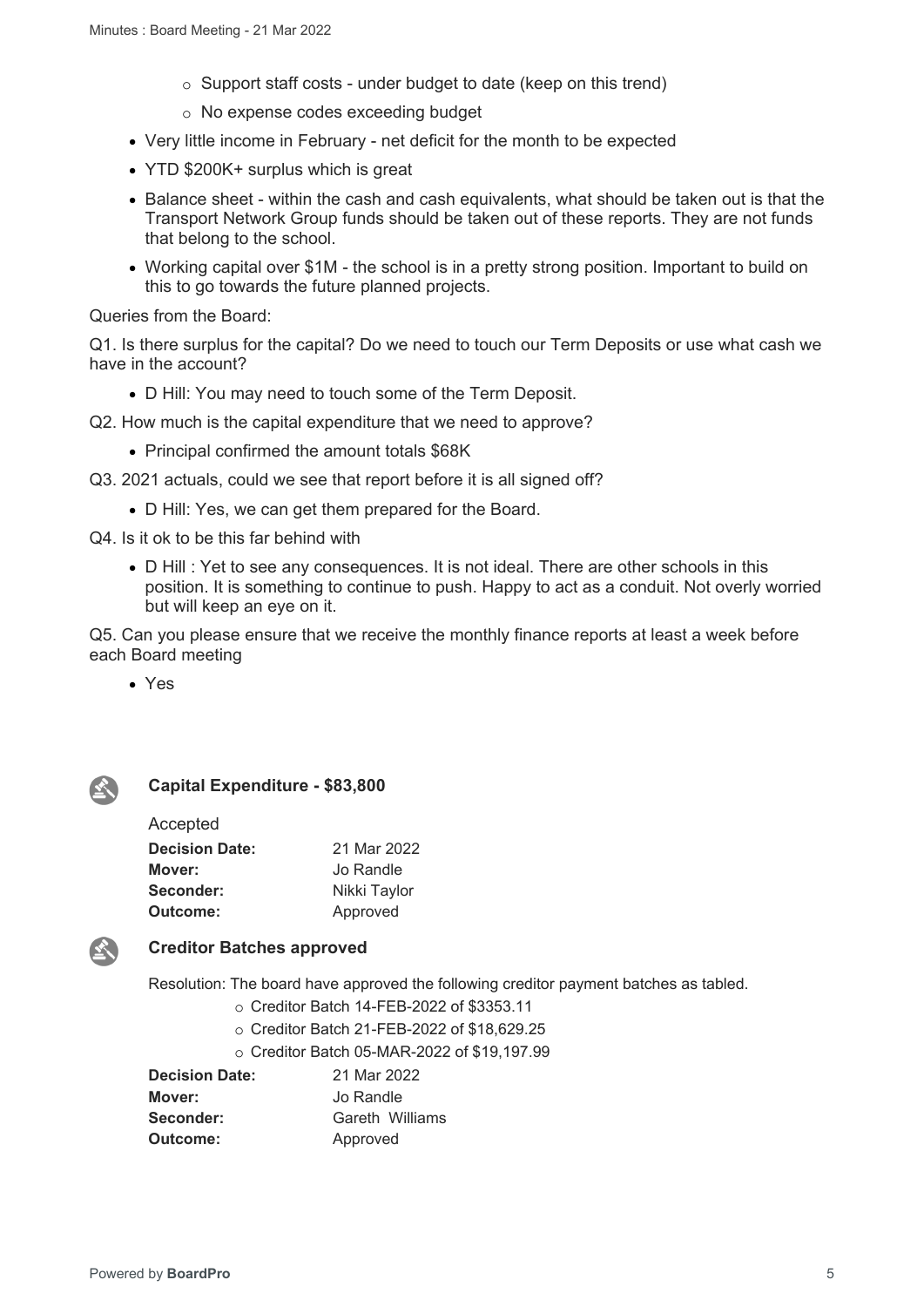- $\circ$  Support staff costs under budget to date (keep on this trend)
- o No expense codes exceeding budget
- Very little income in February net deficit for the month to be expected
- YTD \$200K+ surplus which is great
- Balance sheet within the cash and cash equivalents, what should be taken out is that the Transport Network Group funds should be taken out of these reports. They are not funds that belong to the school.
- Working capital over \$1M the school is in a pretty strong position. Important to build on this to go towards the future planned projects.

Queries from the Board:

Q1. Is there surplus for the capital? Do we need to touch our Term Deposits or use what cash we have in the account?

D Hill: You may need to touch some of the Term Deposit.

Q2. How much is the capital expenditure that we need to approve?

• Principal confirmed the amount totals \$68K

Q3. 2021 actuals, could we see that report before it is all signed off?

D Hill: Yes, we can get them prepared for the Board.

Q4. Is it ok to be this far behind with

 D Hill : Yet to see any consequences. It is not ideal. There are other schools in this position. It is something to continue to push. Happy to act as a conduit. Not overly worried but will keep an eye on it.

Q5. Can you please ensure that we receive the monthly finance reports at least a week before each Board meeting

Yes



#### **Capital Expenditure - \$83,800**

| Accepted              |              |
|-----------------------|--------------|
| <b>Decision Date:</b> | 21 Mar 2022  |
| Mover:                | Jo Randle    |
| Seconder:             | Nikki Taylor |
| Outcome:              | Approved     |



#### **Creditor Batches approved**

Resolution: The board have approved the following creditor payment batches as tabled.

- o Creditor Batch 14-FEB-2022 of \$3353.11
- o Creditor Batch 21-FEB-2022 of \$18,629.25
- o Creditor Batch 05-MAR-2022 of \$19,197.99

| <b>Decision Date:</b> | 21 Mar 2022     |
|-----------------------|-----------------|
| Mover:                | Jo Randle       |
| Seconder:             | Gareth Williams |
| Outcome:              | Approved        |